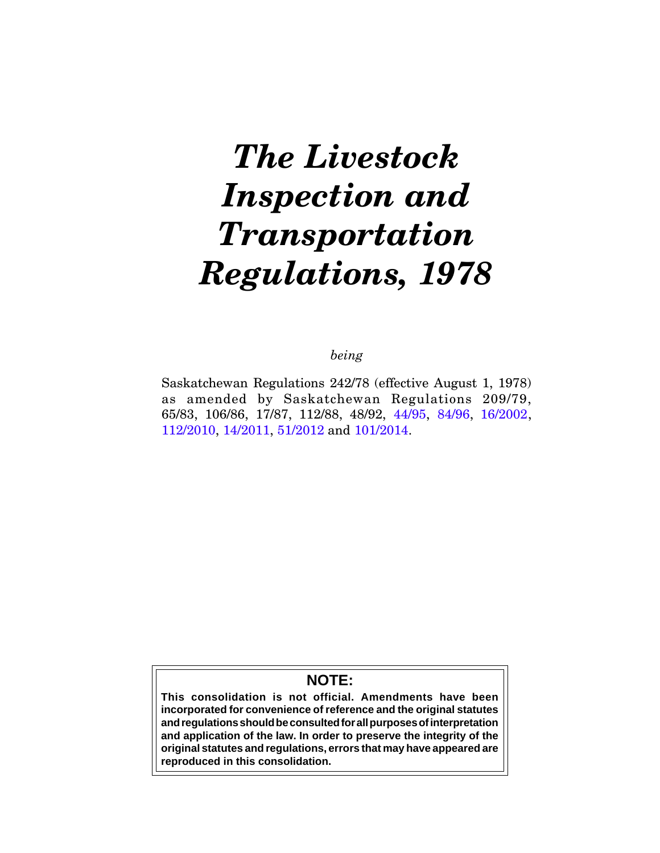# *The Livestock Inspection and Transportation Regulations, 1978*

*being*

Saskatchewan Regulations 242/78 (effective August 1, 1978) as amended by Saskatchewan Regulations 209/79, 65/83, 106/86, 17/87, 112/88, 48/92, [44/95,](http://www.qp.gov.sk.ca/documents/gazette/part3/1995/g3199521.pdf) [84/96](http://www.qp.gov.sk.ca/documents/gazette/part2/1996/g2199645.pdf), [16/2002](http://www.qp.gov.sk.ca/documents/gazette/part3/2002/g3200209.pdf), [112/2010,](http://www.qp.gov.sk.ca/documents/gazette/part3/2010/G3201047.pdf) [14/2011,](http://www.qp.gov.sk.ca/documents/gazette/part3/2011/G3201114.pdf) [51/2012](http://www.qp.gov.sk.ca/documents/gazette/part3/2012/G3201227.pdf) and [101/2014](http://www.qp.gov.sk.ca/documents/gazette/part3/2014/G3201449.pdf).

# **NOTE:**

**This consolidation is not official. Amendments have been incorporated for convenience of reference and the original statutes and regulations should be consulted for all purposes of interpretation and application of the law. In order to preserve the integrity of the original statutes and regulations, errors that may have appeared are reproduced in this consolidation.**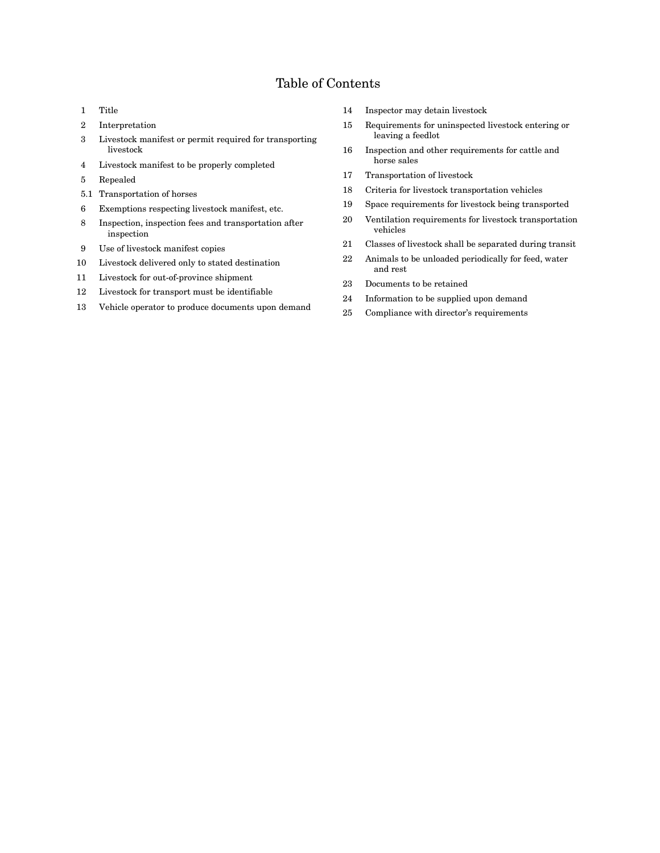# Table of Contents

- 1 Title
- 2 Interpretation
- 3 Livestock manifest or permit required for transporting livestock
- 4 Livestock manifest to be properly completed
- 5 Repealed
- 5.1 Transportation of horses
- 6 Exemptions respecting livestock manifest, etc.
- 8 Inspection, inspection fees and transportation after inspection
- 9 Use of livestock manifest copies
- 10 Livestock delivered only to stated destination
- 11 Livestock for out-of-province shipment
- 12 Livestock for transport must be identifiable
- 13 Vehicle operator to produce documents upon demand
- 14 Inspector may detain livestock
- 15 Requirements for uninspected livestock entering or leaving a feedlot
- 16 Inspection and other requirements for cattle and horse sales
- 17 Transportation of livestock
- 18 Criteria for livestock transportation vehicles
- 19 Space requirements for livestock being transported
- 20 Ventilation requirements for livestock transportation vehicles
- 21 Classes of livestock shall be separated during transit
- 22 Animals to be unloaded periodically for feed, water and rest
- 23 Documents to be retained
- 24 Information to be supplied upon demand
- 25 Compliance with director's requirements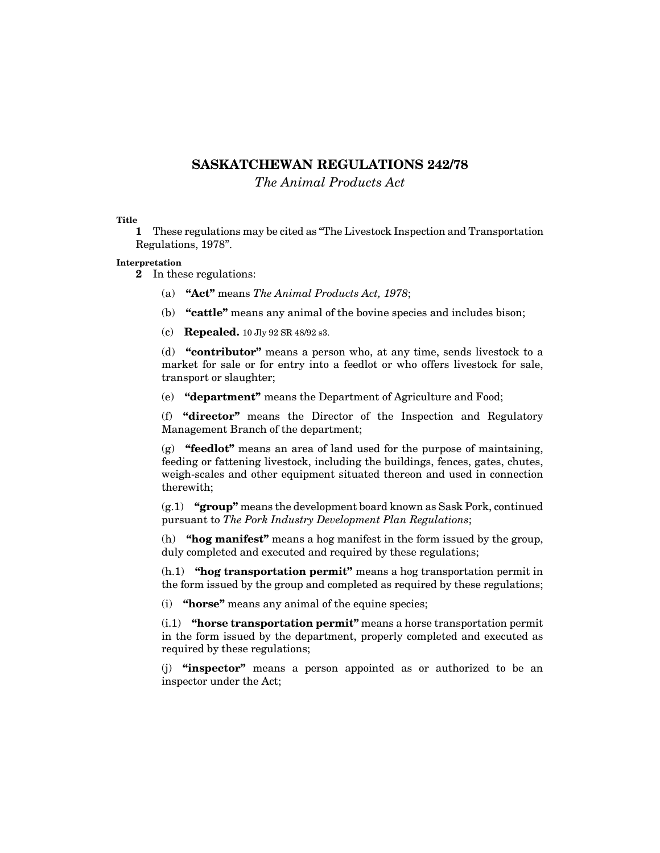# **SASKATCHEWAN REGULATIONS 242/78**

*The Animal Products Act*

**Title**

**1** These regulations may be cited as "The Livestock Inspection and Transportation Regulations, 1978".

# **Interpretation**

**2** In these regulations:

- (a) **"Act"** means *The Animal Products Act, 1978*;
- (b) **"cattle"** means any animal of the bovine species and includes bison;
- (c) **Repealed.** 10 Jly 92 SR 48/92 s3.

(d) **"contributor"** means a person who, at any time, sends livestock to a market for sale or for entry into a feedlot or who offers livestock for sale, transport or slaughter;

(e) **"department"** means the Department of Agriculture and Food;

(f) **"director"** means the Director of the Inspection and Regulatory Management Branch of the department;

(g) **"feedlot"** means an area of land used for the purpose of maintaining, feeding or fattening livestock, including the buildings, fences, gates, chutes, weigh-scales and other equipment situated thereon and used in connection therewith;

(g.1) **"group"** means the development board known as Sask Pork, continued pursuant to *The Pork Industry Development Plan Regulations*;

(h) **"hog manifest"** means a hog manifest in the form issued by the group, duly completed and executed and required by these regulations;

(h.1) **"hog transportation permit"** means a hog transportation permit in the form issued by the group and completed as required by these regulations;

(i) **"horse"** means any animal of the equine species;

(i.1) **"horse transportation permit"** means a horse transportation permit in the form issued by the department, properly completed and executed as required by these regulations;

(j) **"inspector"** means a person appointed as or authorized to be an inspector under the Act;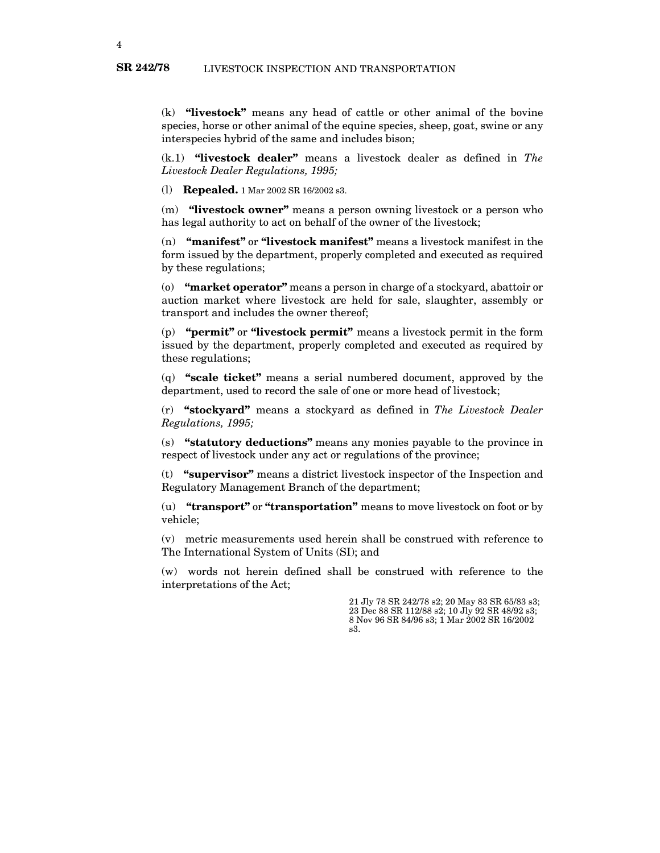(k) **"livestock"** means any head of cattle or other animal of the bovine species, horse or other animal of the equine species, sheep, goat, swine or any interspecies hybrid of the same and includes bison;

(k.1) **"livestock dealer"** means a livestock dealer as defined in *The Livestock Dealer Regulations, 1995;*

(l) **Repealed.** 1 Mar 2002 SR 16/2002 s3.

(m) **"livestock owner"** means a person owning livestock or a person who has legal authority to act on behalf of the owner of the livestock;

(n) **"manifest"** or **"livestock manifest"** means a livestock manifest in the form issued by the department, properly completed and executed as required by these regulations;

(o) **"market operator"** means a person in charge of a stockyard, abattoir or auction market where livestock are held for sale, slaughter, assembly or transport and includes the owner thereof;

(p) **"permit"** or **"livestock permit"** means a livestock permit in the form issued by the department, properly completed and executed as required by these regulations;

(q) **"scale ticket"** means a serial numbered document, approved by the department, used to record the sale of one or more head of livestock;

(r) **"stockyard"** means a stockyard as defined in *The Livestock Dealer Regulations, 1995;*

(s) **"statutory deductions"** means any monies payable to the province in respect of livestock under any act or regulations of the province;

(t) **"supervisor"** means a district livestock inspector of the Inspection and Regulatory Management Branch of the department;

(u) **"transport"** or **"transportation"** means to move livestock on foot or by vehicle;

(v) metric measurements used herein shall be construed with reference to The International System of Units (SI); and

(w) words not herein defined shall be construed with reference to the interpretations of the Act;

> 21 Jly 78 SR 242/78 s2; 20 May 83 SR 65/83 s3; 23 Dec 88 SR 112/88 s2; 10 Jly 92 SR 48/92 s3; 8 Nov 96 SR 84/96 s3; 1 Mar 2002 SR 16/2002 s3.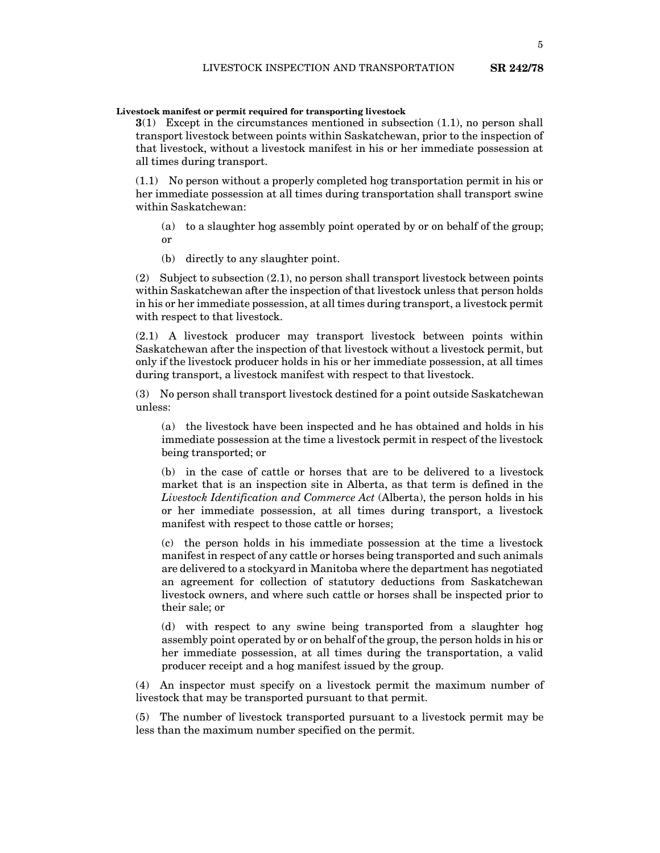# **Livestock manifest or permit required for transporting livestock**

**3**(1) Except in the circumstances mentioned in subsection (1.1), no person shall transport livestock between points within Saskatchewan, prior to the inspection of that livestock, without a livestock manifest in his or her immediate possession at all times during transport.

(1.1) No person without a properly completed hog transportation permit in his or her immediate possession at all times during transportation shall transport swine within Saskatchewan:

- (a) to a slaughter hog assembly point operated by or on behalf of the group; or
- (b) directly to any slaughter point.

(2) Subject to subsection (2.1), no person shall transport livestock between points within Saskatchewan after the inspection of that livestock unless that person holds in his or her immediate possession, at all times during transport, a livestock permit with respect to that livestock.

(2.1) A livestock producer may transport livestock between points within Saskatchewan after the inspection of that livestock without a livestock permit, but only if the livestock producer holds in his or her immediate possession, at all times during transport, a livestock manifest with respect to that livestock.

(3) No person shall transport livestock destined for a point outside Saskatchewan unless:

(a) the livestock have been inspected and he has obtained and holds in his immediate possession at the time a livestock permit in respect of the livestock being transported; or

(b) in the case of cattle or horses that are to be delivered to a livestock market that is an inspection site in Alberta, as that term is defined in the *Livestock Identification and Commerce Act* (Alberta), the person holds in his or her immediate possession, at all times during transport, a livestock manifest with respect to those cattle or horses;

(c) the person holds in his immediate possession at the time a livestock manifest in respect of any cattle or horses being transported and such animals are delivered to a stockyard in Manitoba where the department has negotiated an agreement for collection of statutory deductions from Saskatchewan livestock owners, and where such cattle or horses shall be inspected prior to their sale; or

(d) with respect to any swine being transported from a slaughter hog assembly point operated by or on behalf of the group, the person holds in his or her immediate possession, at all times during the transportation, a valid producer receipt and a hog manifest issued by the group.

(4) An inspector must specify on a livestock permit the maximum number of livestock that may be transported pursuant to that permit.

(5) The number of livestock transported pursuant to a livestock permit may be less than the maximum number specified on the permit.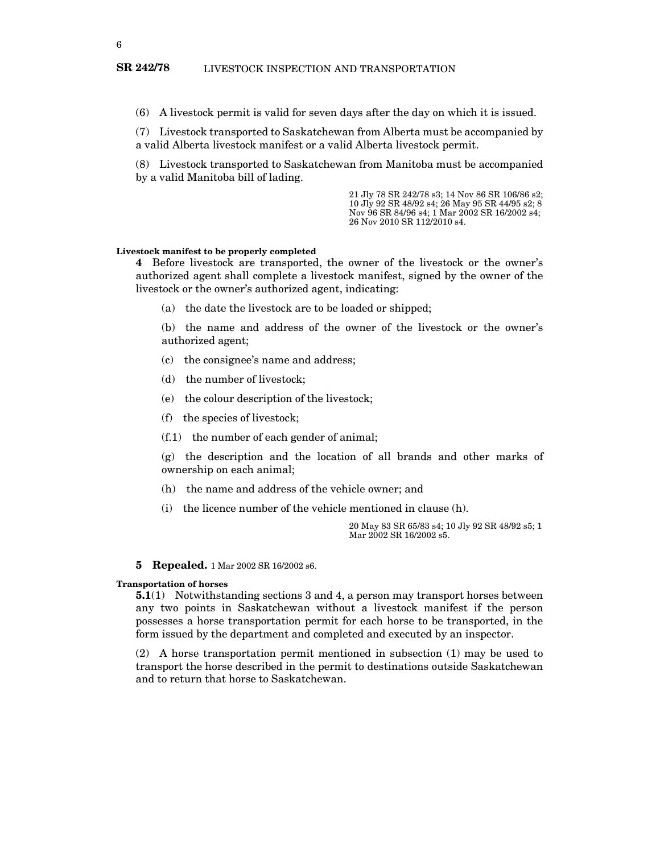(6) A livestock permit is valid for seven days after the day on which it is issued.

(7) Livestock transported to Saskatchewan from Alberta must be accompanied by a valid Alberta livestock manifest or a valid Alberta livestock permit.

(8) Livestock transported to Saskatchewan from Manitoba must be accompanied by a valid Manitoba bill of lading.

> 21 Jly 78 SR 242/78 s3; 14 Nov 86 SR 106/86 s2; 10 Jly 92 SR 48/92 s4; 26 May 95 SR 44/95 s2; 8 Nov 96 SR 84/96 s4; 1 Mar 2002 SR 16/2002 s4; 26 Nov 2010 SR 112/2010 s4.

#### **Livestock manifest to be properly completed**

**4** Before livestock are transported, the owner of the livestock or the owner's authorized agent shall complete a livestock manifest, signed by the owner of the livestock or the owner's authorized agent, indicating:

(a) the date the livestock are to be loaded or shipped;

(b) the name and address of the owner of the livestock or the owner's authorized agent;

- (c) the consignee's name and address;
- (d) the number of livestock;
- (e) the colour description of the livestock;
- (f) the species of livestock;
- (f.1) the number of each gender of animal;

(g) the description and the location of all brands and other marks of ownership on each animal;

- (h) the name and address of the vehicle owner; and
- (i) the licence number of the vehicle mentioned in clause (h).

20 May 83 SR 65/83 s4; 10 Jly 92 SR 48/92 s5; 1 Mar 2002 SR 16/2002 s5.

#### **5 Repealed.** 1 Mar 2002 SR 16/2002 s6.

#### **Transportation of horses**

**5.1**(1) Notwithstanding sections 3 and 4, a person may transport horses between any two points in Saskatchewan without a livestock manifest if the person possesses a horse transportation permit for each horse to be transported, in the form issued by the department and completed and executed by an inspector.

(2) A horse transportation permit mentioned in subsection (1) may be used to transport the horse described in the permit to destinations outside Saskatchewan and to return that horse to Saskatchewan.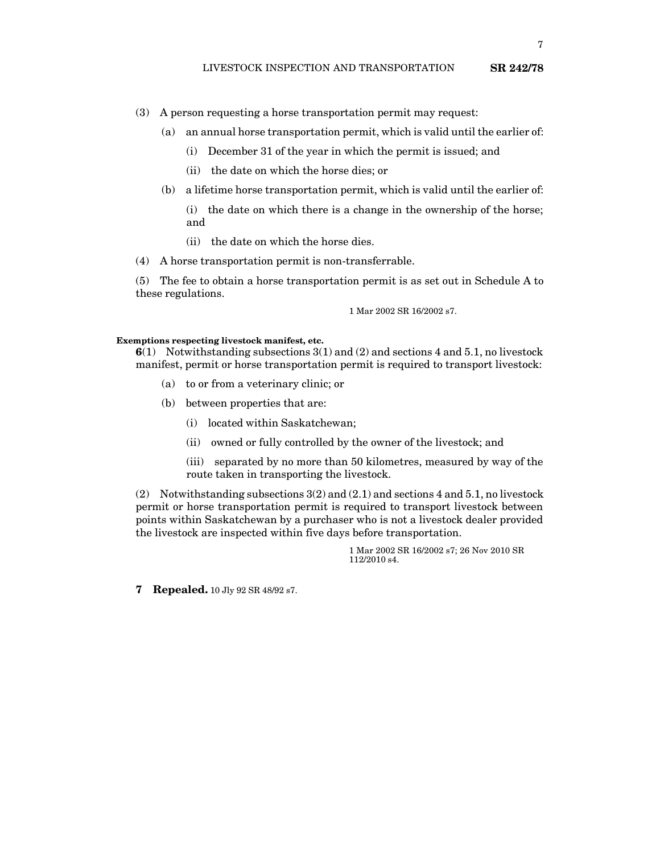- (3) A person requesting a horse transportation permit may request:
	- (a) an annual horse transportation permit, which is valid until the earlier of:
		- (i) December 31 of the year in which the permit is issued; and
		- (ii) the date on which the horse dies; or
	- (b) a lifetime horse transportation permit, which is valid until the earlier of:
		- (i) the date on which there is a change in the ownership of the horse; and
		- (ii) the date on which the horse dies.
- (4) A horse transportation permit is non-transferrable.

(5) The fee to obtain a horse transportation permit is as set out in Schedule A to these regulations.

1 Mar 2002 SR 16/2002 s7.

#### **Exemptions respecting livestock manifest, etc.**

**6**(1) Notwithstanding subsections 3(1) and (2) and sections 4 and 5.1, no livestock manifest, permit or horse transportation permit is required to transport livestock:

- (a) to or from a veterinary clinic; or
- (b) between properties that are:
	- (i) located within Saskatchewan;
	- (ii) owned or fully controlled by the owner of the livestock; and

(iii) separated by no more than 50 kilometres, measured by way of the route taken in transporting the livestock.

(2) Notwithstanding subsections 3(2) and (2.1) and sections 4 and 5.1, no livestock permit or horse transportation permit is required to transport livestock between points within Saskatchewan by a purchaser who is not a livestock dealer provided the livestock are inspected within five days before transportation.

> 1 Mar 2002 SR 16/2002 s7; 26 Nov 2010 SR 112/2010 s4.

**7 Repealed.** 10 Jly 92 SR 48/92 s7.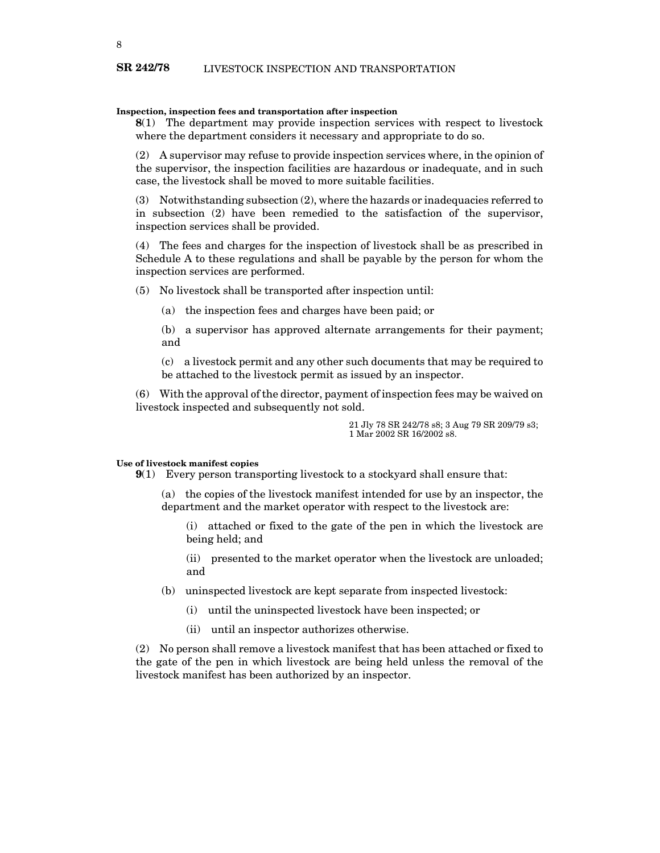## **Inspection, inspection fees and transportation after inspection**

**8**(1) The department may provide inspection services with respect to livestock where the department considers it necessary and appropriate to do so.

(2) A supervisor may refuse to provide inspection services where, in the opinion of the supervisor, the inspection facilities are hazardous or inadequate, and in such case, the livestock shall be moved to more suitable facilities.

(3) Notwithstanding subsection (2), where the hazards or inadequacies referred to in subsection (2) have been remedied to the satisfaction of the supervisor, inspection services shall be provided.

(4) The fees and charges for the inspection of livestock shall be as prescribed in Schedule A to these regulations and shall be payable by the person for whom the inspection services are performed.

(5) No livestock shall be transported after inspection until:

(a) the inspection fees and charges have been paid; or

(b) a supervisor has approved alternate arrangements for their payment; and

(c) a livestock permit and any other such documents that may be required to be attached to the livestock permit as issued by an inspector.

(6) With the approval of the director, payment of inspection fees may be waived on livestock inspected and subsequently not sold.

> 21 Jly 78 SR 242/78 s8; 3 Aug 79 SR 209/79 s3; 1 Mar 2002 SR 16/2002 s8.

# **Use of livestock manifest copies**

**9**(1) Every person transporting livestock to a stockyard shall ensure that:

(a) the copies of the livestock manifest intended for use by an inspector, the department and the market operator with respect to the livestock are:

(i) attached or fixed to the gate of the pen in which the livestock are being held; and

(ii) presented to the market operator when the livestock are unloaded; and

(b) uninspected livestock are kept separate from inspected livestock:

(i) until the uninspected livestock have been inspected; or

(ii) until an inspector authorizes otherwise.

(2) No person shall remove a livestock manifest that has been attached or fixed to the gate of the pen in which livestock are being held unless the removal of the livestock manifest has been authorized by an inspector.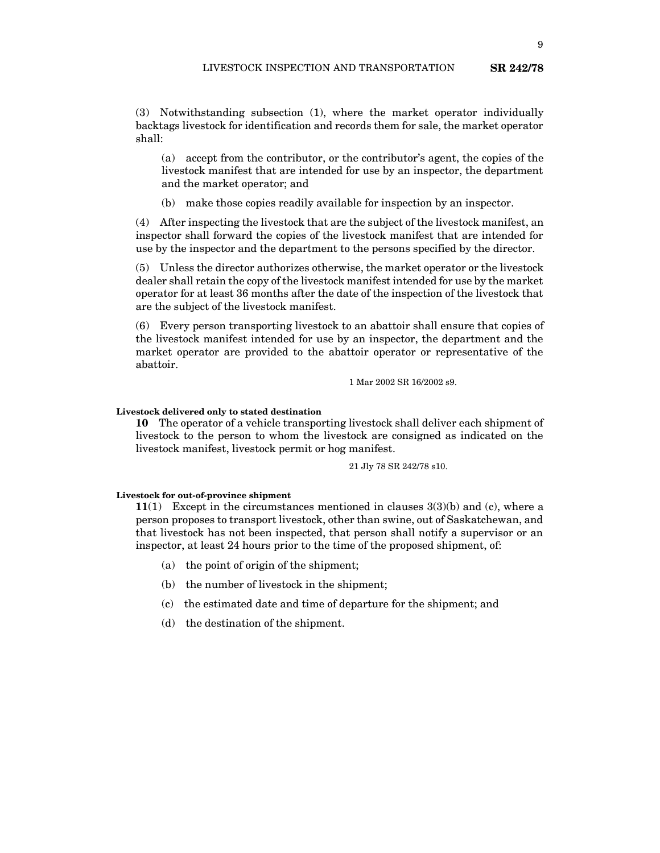(3) Notwithstanding subsection (1), where the market operator individually backtags livestock for identification and records them for sale, the market operator shall:

(a) accept from the contributor, or the contributor's agent, the copies of the livestock manifest that are intended for use by an inspector, the department and the market operator; and

(b) make those copies readily available for inspection by an inspector.

(4) After inspecting the livestock that are the subject of the livestock manifest, an inspector shall forward the copies of the livestock manifest that are intended for use by the inspector and the department to the persons specified by the director.

(5) Unless the director authorizes otherwise, the market operator or the livestock dealer shall retain the copy of the livestock manifest intended for use by the market operator for at least 36 months after the date of the inspection of the livestock that are the subject of the livestock manifest.

(6) Every person transporting livestock to an abattoir shall ensure that copies of the livestock manifest intended for use by an inspector, the department and the market operator are provided to the abattoir operator or representative of the abattoir.

1 Mar 2002 SR 16/2002 s9.

## **Livestock delivered only to stated destination**

**10** The operator of a vehicle transporting livestock shall deliver each shipment of livestock to the person to whom the livestock are consigned as indicated on the livestock manifest, livestock permit or hog manifest.

21 Jly 78 SR 242/78 s10.

# **Livestock for out-of-province shipment**

**11**(1) Except in the circumstances mentioned in clauses 3(3)(b) and (c), where a person proposes to transport livestock, other than swine, out of Saskatchewan, and that livestock has not been inspected, that person shall notify a supervisor or an inspector, at least 24 hours prior to the time of the proposed shipment, of:

- (a) the point of origin of the shipment;
- (b) the number of livestock in the shipment;
- (c) the estimated date and time of departure for the shipment; and
- (d) the destination of the shipment.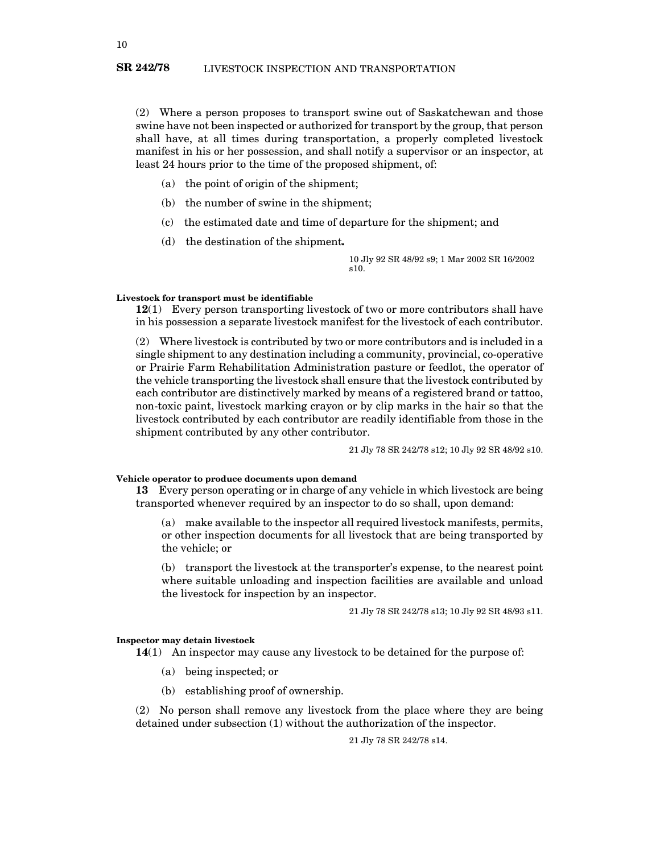(2) Where a person proposes to transport swine out of Saskatchewan and those swine have not been inspected or authorized for transport by the group, that person shall have, at all times during transportation, a properly completed livestock manifest in his or her possession, and shall notify a supervisor or an inspector, at least 24 hours prior to the time of the proposed shipment, of:

- (a) the point of origin of the shipment;
- (b) the number of swine in the shipment;
- (c) the estimated date and time of departure for the shipment; and
- (d) the destination of the shipment**.**

10 Jly 92 SR 48/92 s9; 1 Mar 2002 SR 16/2002 s10.

#### **Livestock for transport must be identifiable**

**12**(1) Every person transporting livestock of two or more contributors shall have in his possession a separate livestock manifest for the livestock of each contributor.

(2) Where livestock is contributed by two or more contributors and is included in a single shipment to any destination including a community, provincial, co-operative or Prairie Farm Rehabilitation Administration pasture or feedlot, the operator of the vehicle transporting the livestock shall ensure that the livestock contributed by each contributor are distinctively marked by means of a registered brand or tattoo, non-toxic paint, livestock marking crayon or by clip marks in the hair so that the livestock contributed by each contributor are readily identifiable from those in the shipment contributed by any other contributor.

21 Jly 78 SR 242/78 s12; 10 Jly 92 SR 48/92 s10.

**Vehicle operator to produce documents upon demand**

**13** Every person operating or in charge of any vehicle in which livestock are being transported whenever required by an inspector to do so shall, upon demand:

(a) make available to the inspector all required livestock manifests, permits, or other inspection documents for all livestock that are being transported by the vehicle; or

(b) transport the livestock at the transporter's expense, to the nearest point where suitable unloading and inspection facilities are available and unload the livestock for inspection by an inspector.

21 Jly 78 SR 242/78 s13; 10 Jly 92 SR 48/93 s11.

## **Inspector may detain livestock**

**14**(1) An inspector may cause any livestock to be detained for the purpose of:

- (a) being inspected; or
- (b) establishing proof of ownership.

(2) No person shall remove any livestock from the place where they are being detained under subsection (1) without the authorization of the inspector.

21 Jly 78 SR 242/78 s14.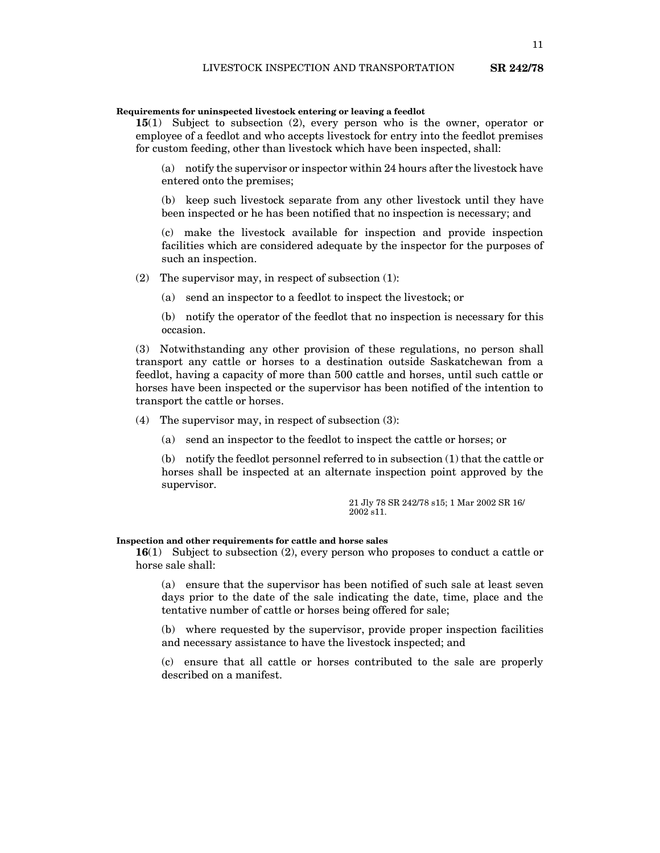#### **Requirements for uninspected livestock entering or leaving a feedlot**

**15**(1) Subject to subsection (2), every person who is the owner, operator or employee of a feedlot and who accepts livestock for entry into the feedlot premises for custom feeding, other than livestock which have been inspected, shall:

(a) notify the supervisor or inspector within 24 hours after the livestock have entered onto the premises;

(b) keep such livestock separate from any other livestock until they have been inspected or he has been notified that no inspection is necessary; and

(c) make the livestock available for inspection and provide inspection facilities which are considered adequate by the inspector for the purposes of such an inspection.

(2) The supervisor may, in respect of subsection (1):

(a) send an inspector to a feedlot to inspect the livestock; or

(b) notify the operator of the feedlot that no inspection is necessary for this occasion.

(3) Notwithstanding any other provision of these regulations, no person shall transport any cattle or horses to a destination outside Saskatchewan from a feedlot, having a capacity of more than 500 cattle and horses, until such cattle or horses have been inspected or the supervisor has been notified of the intention to transport the cattle or horses.

- (4) The supervisor may, in respect of subsection (3):
	- (a) send an inspector to the feedlot to inspect the cattle or horses; or

(b) notify the feedlot personnel referred to in subsection (1) that the cattle or horses shall be inspected at an alternate inspection point approved by the supervisor.

> 21 Jly 78 SR 242/78 s15; 1 Mar 2002 SR 16/ 2002 s11.

# **Inspection and other requirements for cattle and horse sales**

**16**(1) Subject to subsection (2), every person who proposes to conduct a cattle or horse sale shall:

(a) ensure that the supervisor has been notified of such sale at least seven days prior to the date of the sale indicating the date, time, place and the tentative number of cattle or horses being offered for sale;

(b) where requested by the supervisor, provide proper inspection facilities and necessary assistance to have the livestock inspected; and

(c) ensure that all cattle or horses contributed to the sale are properly described on a manifest.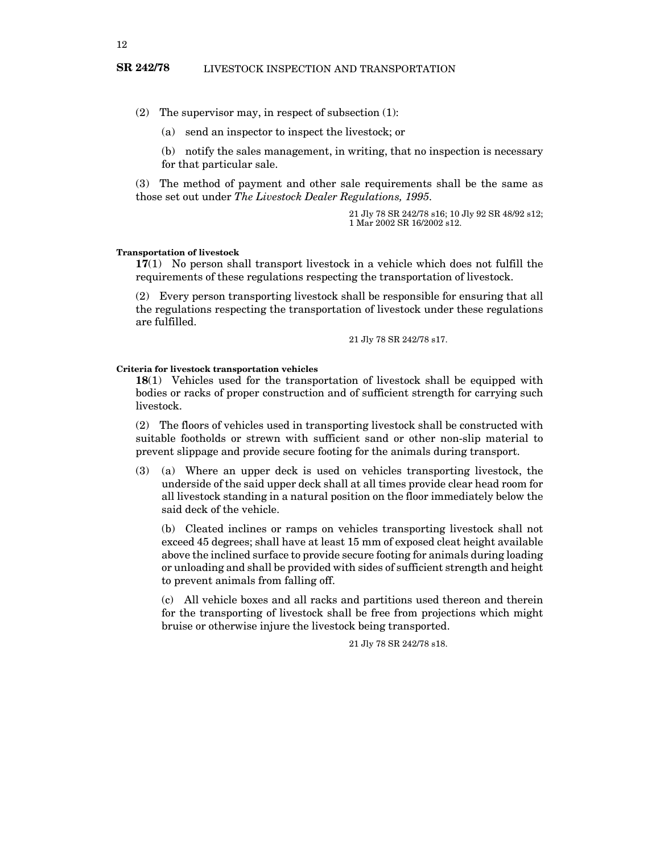(2) The supervisor may, in respect of subsection (1):

(a) send an inspector to inspect the livestock; or

(b) notify the sales management, in writing, that no inspection is necessary for that particular sale.

(3) The method of payment and other sale requirements shall be the same as those set out under *The Livestock Dealer Regulations, 1995*.

> 21 Jly 78 SR 242/78 s16; 10 Jly 92 SR 48/92 s12; 1 Mar 2002 SR 16/2002 s12.

#### **Transportation of livestock**

**17**(1) No person shall transport livestock in a vehicle which does not fulfill the requirements of these regulations respecting the transportation of livestock.

(2) Every person transporting livestock shall be responsible for ensuring that all the regulations respecting the transportation of livestock under these regulations are fulfilled.

21 Jly 78 SR 242/78 s17.

#### **Criteria for livestock transportation vehicles**

**18**(1) Vehicles used for the transportation of livestock shall be equipped with bodies or racks of proper construction and of sufficient strength for carrying such livestock.

(2) The floors of vehicles used in transporting livestock shall be constructed with suitable footholds or strewn with sufficient sand or other non-slip material to prevent slippage and provide secure footing for the animals during transport.

(3) (a) Where an upper deck is used on vehicles transporting livestock, the underside of the said upper deck shall at all times provide clear head room for all livestock standing in a natural position on the floor immediately below the said deck of the vehicle.

(b) Cleated inclines or ramps on vehicles transporting livestock shall not exceed 45 degrees; shall have at least 15 mm of exposed cleat height available above the inclined surface to provide secure footing for animals during loading or unloading and shall be provided with sides of sufficient strength and height to prevent animals from falling off.

(c) All vehicle boxes and all racks and partitions used thereon and therein for the transporting of livestock shall be free from projections which might bruise or otherwise injure the livestock being transported.

21 Jly 78 SR 242/78 s18.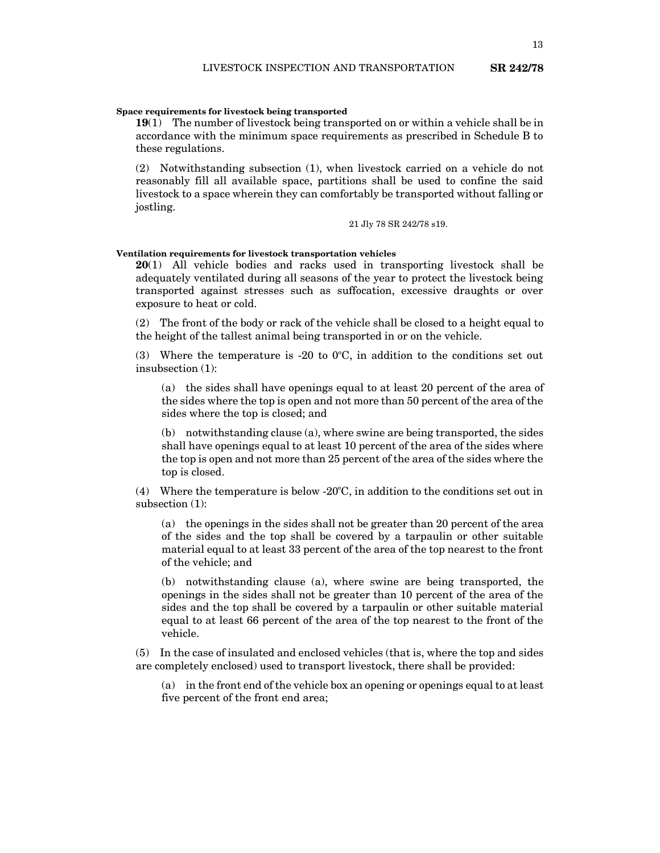**19**(1) The number of livestock being transported on or within a vehicle shall be in accordance with the minimum space requirements as prescribed in Schedule B to these regulations.

(2) Notwithstanding subsection (1), when livestock carried on a vehicle do not reasonably fill all available space, partitions shall be used to confine the said livestock to a space wherein they can comfortably be transported without falling or jostling.

21 Jly 78 SR 242/78 s19.

#### **Ventilation requirements for livestock transportation vehicles**

**20**(1) All vehicle bodies and racks used in transporting livestock shall be adequately ventilated during all seasons of the year to protect the livestock being transported against stresses such as suffocation, excessive draughts or over exposure to heat or cold.

(2) The front of the body or rack of the vehicle shall be closed to a height equal to the height of the tallest animal being transported in or on the vehicle.

(3) Where the temperature is -20 to  $0^{\circ}$ C, in addition to the conditions set out insubsection (1):

(a) the sides shall have openings equal to at least 20 percent of the area of the sides where the top is open and not more than 50 percent of the area of the sides where the top is closed; and

(b) notwithstanding clause (a), where swine are being transported, the sides shall have openings equal to at least 10 percent of the area of the sides where the top is open and not more than 25 percent of the area of the sides where the top is closed.

 $(4)$  Where the temperature is below -20 $\degree$ C, in addition to the conditions set out in subsection (1):

(a) the openings in the sides shall not be greater than 20 percent of the area of the sides and the top shall be covered by a tarpaulin or other suitable material equal to at least 33 percent of the area of the top nearest to the front of the vehicle; and

(b) notwithstanding clause (a), where swine are being transported, the openings in the sides shall not be greater than 10 percent of the area of the sides and the top shall be covered by a tarpaulin or other suitable material equal to at least 66 percent of the area of the top nearest to the front of the vehicle.

(5) In the case of insulated and enclosed vehicles (that is, where the top and sides are completely enclosed) used to transport livestock, there shall be provided:

(a) in the front end of the vehicle box an opening or openings equal to at least five percent of the front end area;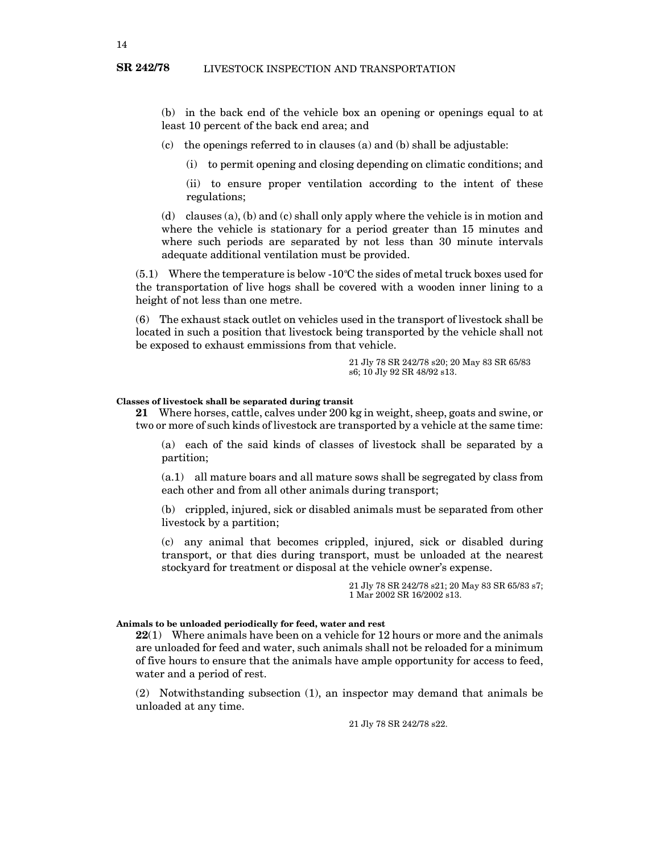(b) in the back end of the vehicle box an opening or openings equal to at least 10 percent of the back end area; and

(c) the openings referred to in clauses (a) and (b) shall be adjustable:

(i) to permit opening and closing depending on climatic conditions; and

(ii) to ensure proper ventilation according to the intent of these regulations;

(d) clauses (a), (b) and (c) shall only apply where the vehicle is in motion and where the vehicle is stationary for a period greater than 15 minutes and where such periods are separated by not less than 30 minute intervals adequate additional ventilation must be provided.

 $(5.1)$  Where the temperature is below -10°C the sides of metal truck boxes used for the transportation of live hogs shall be covered with a wooden inner lining to a height of not less than one metre.

(6) The exhaust stack outlet on vehicles used in the transport of livestock shall be located in such a position that livestock being transported by the vehicle shall not be exposed to exhaust emmissions from that vehicle.

> 21 Jly 78 SR 242/78 s20; 20 May 83 SR 65/83 s6; 10 Jly 92 SR 48/92 s13.

#### **Classes of livestock shall be separated during transit**

**21** Where horses, cattle, calves under 200 kg in weight, sheep, goats and swine, or two or more of such kinds of livestock are transported by a vehicle at the same time:

(a) each of the said kinds of classes of livestock shall be separated by a partition;

(a.1) all mature boars and all mature sows shall be segregated by class from each other and from all other animals during transport;

(b) crippled, injured, sick or disabled animals must be separated from other livestock by a partition;

(c) any animal that becomes crippled, injured, sick or disabled during transport, or that dies during transport, must be unloaded at the nearest stockyard for treatment or disposal at the vehicle owner's expense.

> 21 Jly 78 SR 242/78 s21; 20 May 83 SR 65/83 s7; 1 Mar 2002 SR 16/2002 s13.

#### **Animals to be unloaded periodically for feed, water and rest**

**22**(1) Where animals have been on a vehicle for 12 hours or more and the animals are unloaded for feed and water, such animals shall not be reloaded for a minimum of five hours to ensure that the animals have ample opportunity for access to feed, water and a period of rest.

(2) Notwithstanding subsection (1), an inspector may demand that animals be unloaded at any time.

21 Jly 78 SR 242/78 s22.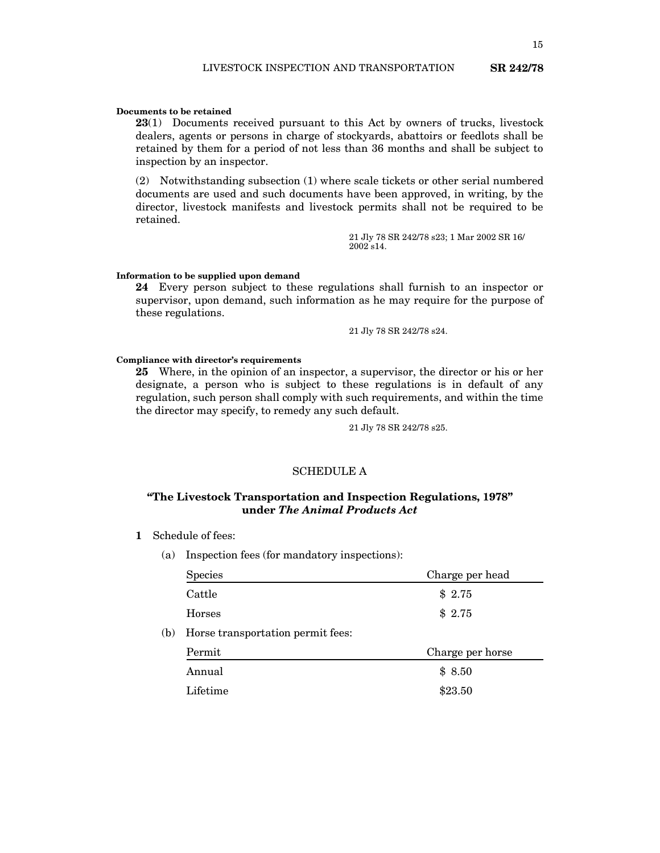#### **Documents to be retained**

**23**(1) Documents received pursuant to this Act by owners of trucks, livestock dealers, agents or persons in charge of stockyards, abattoirs or feedlots shall be retained by them for a period of not less than 36 months and shall be subject to inspection by an inspector.

(2) Notwithstanding subsection (1) where scale tickets or other serial numbered documents are used and such documents have been approved, in writing, by the director, livestock manifests and livestock permits shall not be required to be retained.

> 21 Jly 78 SR 242/78 s23; 1 Mar 2002 SR 16/ 2002 s14.

#### **Information to be supplied upon demand**

**24** Every person subject to these regulations shall furnish to an inspector or supervisor, upon demand, such information as he may require for the purpose of these regulations.

21 Jly 78 SR 242/78 s24.

#### **Compliance with director's requirements**

**25** Where, in the opinion of an inspector, a supervisor, the director or his or her designate, a person who is subject to these regulations is in default of any regulation, such person shall comply with such requirements, and within the time the director may specify, to remedy any such default.

21 Jly 78 SR 242/78 s25.

## SCHEDULE A

# **"The Livestock Transportation and Inspection Regulations, 1978" under** *The Animal Products Act*

- **1** Schedule of fees:
	- (a) Inspection fees (for mandatory inspections):

|     | <b>Species</b>                    | Charge per head  |
|-----|-----------------------------------|------------------|
|     | Cattle                            | \$2.75           |
|     | <b>Horses</b>                     | \$2.75           |
| (b) | Horse transportation permit fees: |                  |
|     | Permit                            | Charge per horse |
|     | Annual                            | \$8.50           |
|     | Lifetime                          | \$23.50          |
|     |                                   |                  |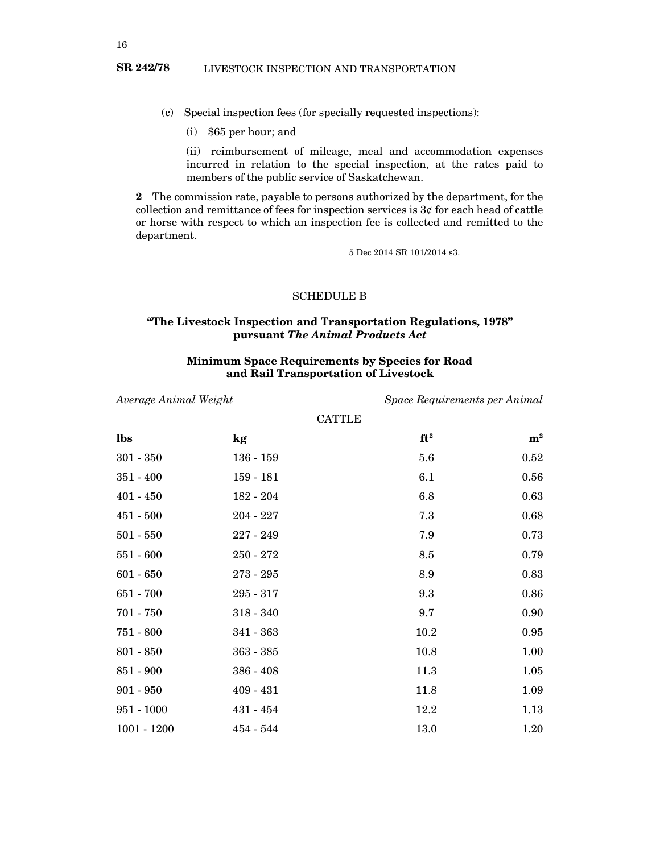- (c) Special inspection fees (for specially requested inspections):
	- (i) \$65 per hour; and

(ii) reimbursement of mileage, meal and accommodation expenses incurred in relation to the special inspection, at the rates paid to members of the public service of Saskatchewan.

**2** The commission rate, payable to persons authorized by the department, for the collection and remittance of fees for inspection services is  $3¢$  for each head of cattle or horse with respect to which an inspection fee is collected and remitted to the department.

5 Dec 2014 SR 101/2014 s3.

# SCHEDULE B

# **"The Livestock Inspection and Transportation Regulations, 1978" pursuant** *The Animal Products Act*

# **Minimum Space Requirements by Species for Road and Rail Transportation of Livestock**

*Average Animal Weight Space Requirements per Animal*

| CATTLE |  |  |
|--------|--|--|
|        |  |  |

| lbs           | kg          | $ft^2$ | ${\bf m}^2$ |
|---------------|-------------|--------|-------------|
| $301 - 350$   | $136 - 159$ | 5.6    | 0.52        |
| $351 - 400$   | $159 - 181$ | 6.1    | 0.56        |
| $401 - 450$   | $182 - 204$ | 6.8    | 0.63        |
| $451 - 500$   | $204 - 227$ | 7.3    | 0.68        |
| $501 - 550$   | $227 - 249$ | 7.9    | 0.73        |
| $551 - 600$   | $250 - 272$ | 8.5    | 0.79        |
| $601 - 650$   | $273 - 295$ | 8.9    | 0.83        |
| $651 - 700$   | $295 - 317$ | 9.3    | 0.86        |
| $701 - 750$   | $318 - 340$ | 9.7    | 0.90        |
| $751 - 800$   | $341 - 363$ | 10.2   | 0.95        |
| $801 - 850$   | $363 - 385$ | 10.8   | 1.00        |
| $851 - 900$   | $386 - 408$ | 11.3   | 1.05        |
| $901 - 950$   | $409 - 431$ | 11.8   | 1.09        |
| $951 - 1000$  | $431 - 454$ | 12.2   | 1.13        |
| $1001 - 1200$ | $454 - 544$ | 13.0   | 1.20        |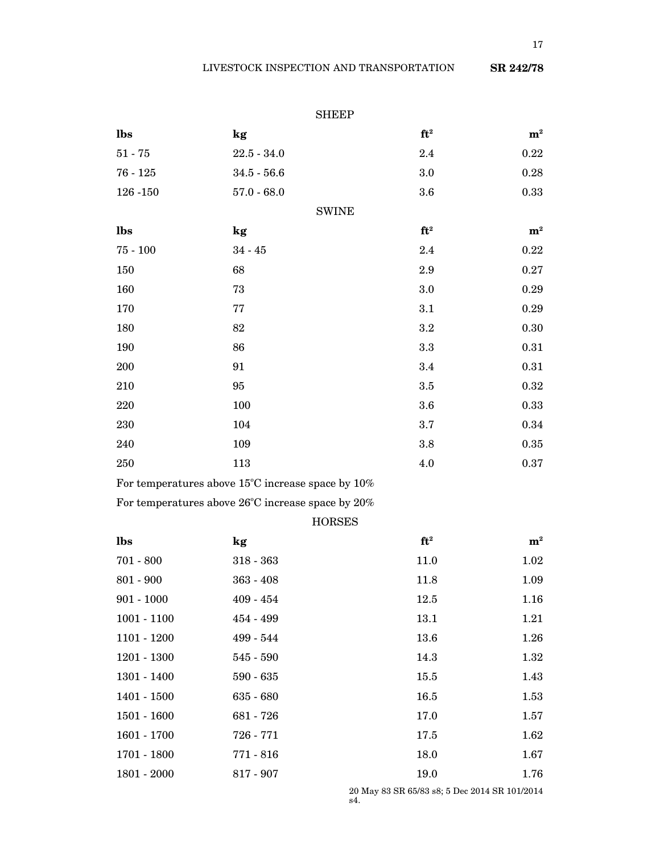|               |                                                   | <b>SHEEP</b>  |             |
|---------------|---------------------------------------------------|---------------|-------------|
| lbs           | kg                                                | $ft^2$        | ${\bf m}^2$ |
| $51 - 75$     | $22.5 - 34.0$                                     | 2.4           | 0.22        |
| $76 - 125$    | $34.5 - 56.6$                                     | 3.0           | 0.28        |
| 126 - 150     | $57.0 - 68.0$                                     | 3.6           | 0.33        |
|               |                                                   | <b>SWINE</b>  |             |
| lbs           | kg                                                | $ft^2$        | ${\bf m}^2$ |
| $75 - 100$    | $34 - 45$                                         | 2.4           | 0.22        |
| 150           | 68                                                | 2.9           | 0.27        |
| 160           | 73                                                | 3.0           | 0.29        |
| 170           | 77                                                | 3.1           | 0.29        |
| 180           | 82                                                | 3.2           | 0.30        |
| 190           | 86                                                | 3.3           | 0.31        |
| 200           | 91                                                | 3.4           | 0.31        |
| 210           | 95                                                | 3.5           | 0.32        |
| 220           | 100                                               | 3.6           | 0.33        |
| 230           | 104                                               | 3.7           | 0.34        |
| 240           | 109                                               | $3.8\,$       | 0.35        |
| 250           | 113                                               | 4.0           | $\rm 0.37$  |
|               | For temperatures above 15°C increase space by 10% |               |             |
|               | For temperatures above 26°C increase space by 20% |               |             |
|               |                                                   | <b>HORSES</b> |             |
| lbs           | kg                                                | $ft^2$        | ${\bf m}^2$ |
| $701 - 800$   | $318 - 363$                                       | 11.0          | 1.02        |
| $801 - 900$   | $363 - 408$                                       | 11.8          | 1.09        |
| $901 - 1000$  | $409 - 454$                                       | 12.5          | 1.16        |
| $1001 - 1100$ | 454 - 499                                         | 13.1          | 1.21        |
| 1101 - 1200   | 499 - 544                                         | 13.6          | 1.26        |
| $1201 - 1300$ | $545 - 590$                                       | 14.3          | 1.32        |
| 1301 - 1400   | $590 - 635$                                       | 15.5          | 1.43        |
| $1401 - 1500$ | $635 - 680$                                       | 16.5          | 1.53        |
| $1501 - 1600$ | 681 - 726                                         | 17.0          | 1.57        |
| $1601 - 1700$ | 726 - 771                                         | 17.5          | 1.62        |
| 1701 - 1800   | $771 - 816$                                       | 18.0          | 1.67        |

1801 - 2000 817 - 907 19.0 19.0 1.76

20 May 83 SR 65/83 s8; 5 Dec 2014 SR 101/2014 s4.